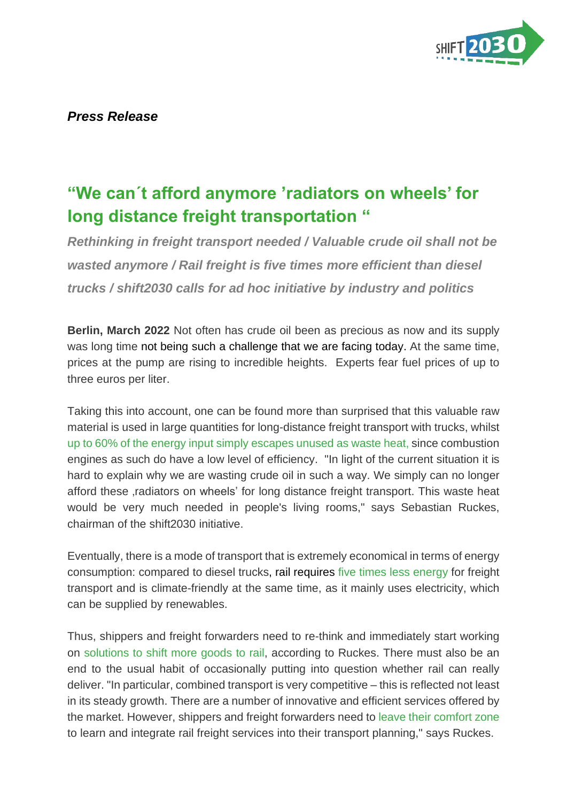

## *Press Release*

## **"We can´t afford anymore 'radiators on wheels' for long distance freight transportation "**

*Rethinking in freight transport needed / Valuable crude oil shall not be wasted anymore / Rail freight is five times more efficient than diesel trucks / shift2030 calls for ad hoc initiative by industry and politics*

**Berlin, March 2022** Not often has crude oil been as precious as now and its supply was long time not being such a challenge that we are facing today. At the same time, prices at the pump are rising to incredible heights. Experts fear fuel prices of up to three euros per liter.

Taking this into account, one can be found more than surprised that this valuable raw material is used in large quantities for long-distance freight transport with trucks, whilst up to 60% of the energy input simply escapes unused as waste heat, since combustion engines as such do have a low level of efficiency. "In light of the current situation it is hard to explain why we are wasting crude oil in such a way. We simply can no longer afford these radiators on wheels' for long distance freight transport. This waste heat would be very much needed in people's living rooms," says Sebastian Ruckes, chairman of the shift2030 initiative.

Eventually, there is a mode of transport that is extremely economical in terms of energy consumption: compared to diesel trucks, rail requires five times less energy for freight transport and is climate-friendly at the same time, as it mainly uses electricity, which can be supplied by renewables.

Thus, shippers and freight forwarders need to re-think and immediately start working on solutions to shift more goods to rail, according to Ruckes. There must also be an end to the usual habit of occasionally putting into question whether rail can really deliver. "In particular, combined transport is very competitive – this is reflected not least in its steady growth. There are a number of innovative and efficient services offered by the market. However, shippers and freight forwarders need to leave their comfort zone to learn and integrate rail freight services into their transport planning," says Ruckes.